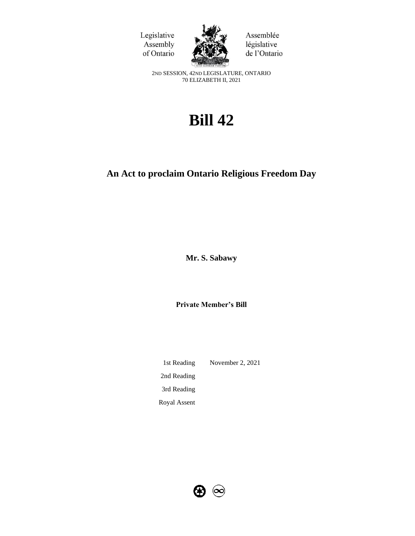



Assemblée législative de l'Ontario

2ND SESSION, 42ND LEGISLATURE, ONTARIO 70 ELIZABETH II, 2021

# **Bill 42**

## **An Act to proclaim Ontario Religious Freedom Day**

**Mr. S. Sabawy** 

**Private Member's Bill**

1st Reading November 2, 2021 2nd Reading 3rd Reading Royal Assent